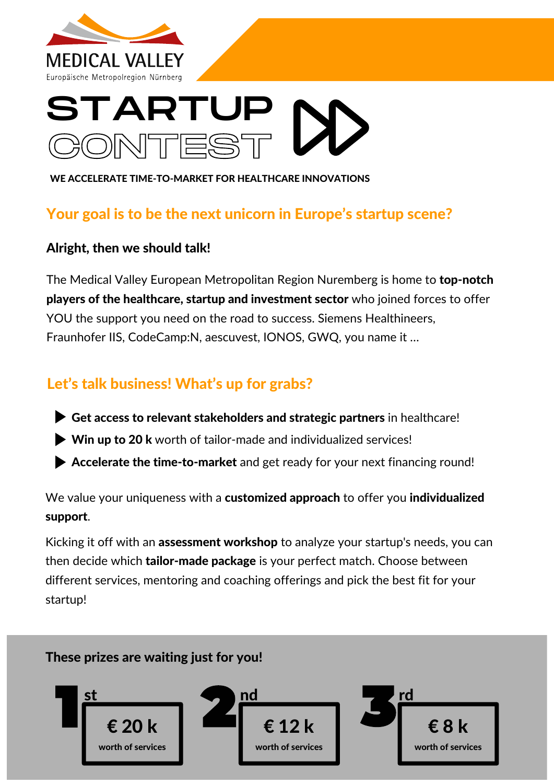

# START TES

WE ACCELERATE TIME-TO-MARKET FOR HEALTHCARE INNOVATIONS

## Your goal is to be the next unicorn in Europe's startup scene?

#### Alright, then we should talk!

The Medical Valley European Metropolitan Region Nuremberg is home to top-notch players of the healthcare, startup and investment sector who joined forces to offer YOU the support you need on the road to success. Siemens Healthineers, Fraunhofer IIS, CodeCamp:N, aescuvest, IONOS, GWQ, you name it …

# Let's talk business! What's up for grabs?

- Get access to relevant stakeholders and strategic partners in healthcare!
- ▶ Win up to 20 k worth of tailor-made and individualized services!
- Accelerate the time-to-market and get ready for your next financing round!

We value your uniqueness with a customized approach to offer you individualized support.

Kicking it off with an **assessment workshop** to analyze your startup's needs, you can then decide which **tailor-made package** is your perfect match. Choose between different services, mentoring and coaching offerings and pick the best fit for your startup!

#### These prizes are waiting just for you!